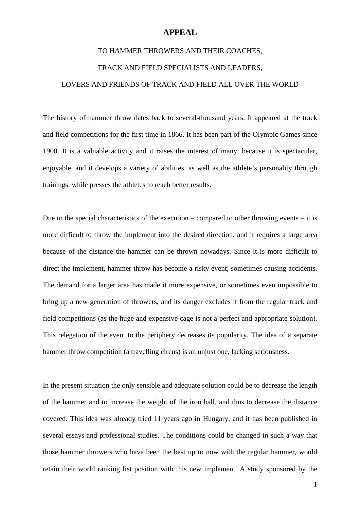# **APPEAL**

## TO HAMMER THROWERS AND THEIR COACHES,

### TRACK AND FIELD SPECIALISTS AND LEADERS,

### LOVERS AND FRIENDS OF TRACK AND FIELD ALL OVER THE WORLD

The history of hammer throw dates back to several-thousand years. It appeared at the track and field competitions for the first time in 1866. It has been part of the Olympic Games since 1900. It is a valuable activity and it raises the interest of many, because it is spectacular, enjoyable, and it develops a variety of abilities, as well as the athlete's personality through trainings, while presses the athletes to reach better results.

Due to the special characteristics of the execution – compared to other throwing events – it is more difficult to throw the implement into the desired direction, and it requires a large area because of the distance the hammer can be thrown nowadays. Since it is more difficult to direct the implement, hammer throw has become a risky event, sometimes causing accidents. The demand for a larger area has made it more expensive, or sometimes even impossible to bring up a new generation of throwers, and its danger excludes it from the regular track and field competitions (as the huge and expensive cage is not a perfect and appropriate solution). This relegation of the event to the periphery decreases its popularity. The idea of a separate hammer throw competition (a travelling circus) is an unjust one, lacking seriousness.

In the present situation the only sensible and adequate solution could be to decrease the length of the hammer and to increase the weight of the iron ball, and thus to decrease the distance covered. This idea was already tried 11 years ago in Hungary, and it has been published in several essays and professional studies. The conditions could be changed in such a way that those hammer throwers who have been the best up to now with the regular hammer, would retain their world ranking list position with this new implement. A study sponsored by the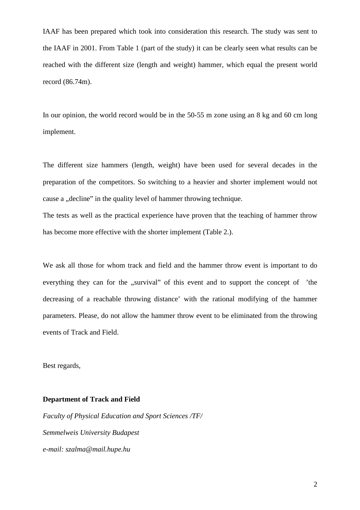IAAF has been prepared which took into consideration this research. The study was sent to the IAAF in 2001. From Table 1 (part of the study) it can be clearly seen what results can be reached with the different size (length and weight) hammer, which equal the present world record (86.74m).

In our opinion, the world record would be in the 50-55 m zone using an 8 kg and 60 cm long implement.

The different size hammers (length, weight) have been used for several decades in the preparation of the competitors. So switching to a heavier and shorter implement would not cause a "decline" in the quality level of hammer throwing technique.

The tests as well as the practical experience have proven that the teaching of hammer throw has become more effective with the shorter implement (Table 2.).

We ask all those for whom track and field and the hammer throw event is important to do everything they can for the "survival" of this event and to support the concept of 'the decreasing of a reachable throwing distance' with the rational modifying of the hammer parameters. Please, do not allow the hammer throw event to be eliminated from the throwing events of Track and Field.

Best regards,

### **Department of Track and Field**

*Faculty of Physical Education and Sport Sciences /TF/ Semmelweis University Budapest e-mail: szalma@mail.hupe.hu*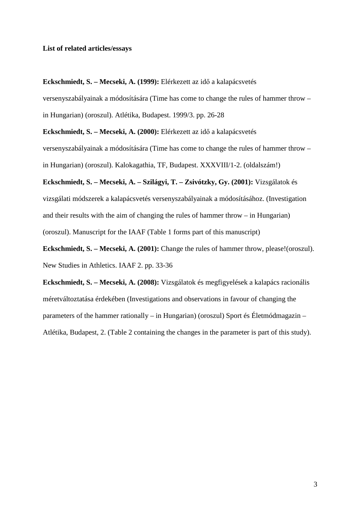### **List of related articles/essays**

**Eckschmiedt, S. – Mecseki, A. (1999):** Elérkezett az idő a kalapácsvetés

versenyszabályainak a módosítására (Time has come to change the rules of hammer throw – in Hungarian) (oroszul). Atlétika, Budapest. 1999/3. pp. 26-28

**Eckschmiedt, S. – Mecseki, A. (2000):** Elérkezett az idő a kalapácsvetés

versenyszabályainak a módosítására (Time has come to change the rules of hammer throw –

in Hungarian) (oroszul). Kalokagathia, TF, Budapest. XXXVIII/1-2. (oldalszám!)

**Eckschmiedt, S. – Mecseki, A. – Szilágyi, T. – Zsivótzky, Gy. (2001):** Vizsgálatok és vizsgálati módszerek a kalapácsvetés versenyszabályainak a módosításához. (Investigation and their results with the aim of changing the rules of hammer throw – in Hungarian) (oroszul). Manuscript for the IAAF (Table 1 forms part of this manuscript)

**Eckschmiedt, S. – Mecseki, A. (2001):** Change the rules of hammer throw, please!(oroszul). New Studies in Athletics. IAAF 2. pp. 33-36

**Eckschmiedt, S. – Mecseki, A. (2008):** Vizsgálatok és megfigyelések a kalapács racionális méretváltoztatása érdekében (Investigations and observations in favour of changing the parameters of the hammer rationally – in Hungarian) (oroszul) Sport és Életmódmagazin – Atlétika, Budapest, 2. (Table 2 containing the changes in the parameter is part of this study).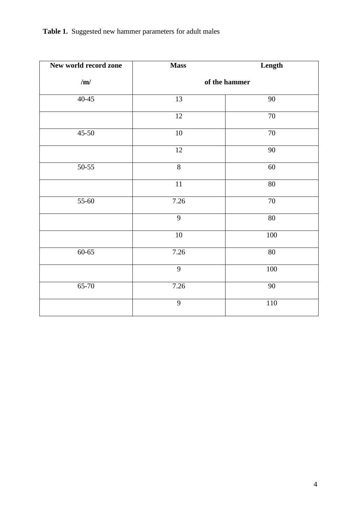**Table 1.** Suggested new hammer parameters for adult males

| New world record zone | <b>Mass</b>     | Length          |
|-----------------------|-----------------|-----------------|
| /m/                   |                 | of the hammer   |
| $40-45$               | $\overline{13}$ | $\overline{90}$ |
|                       | 12              | $\overline{7}0$ |
| $45 - 50$             | $\overline{10}$ | $70\,$          |
|                       | 12              | 90              |
| $50-55$               | $\overline{8}$  | 60              |
|                       | $\overline{11}$ | $80\,$          |
| 55-60                 | 7.26            | $70\,$          |
|                       | 9               | $80\,$          |
|                       | $10\,$          | 100             |
| $60 - 65$             | 7.26            | 80              |
|                       | 9               | $100\,$         |
| 65-70                 | 7.26            | 90              |
|                       | 9               | $110\,$         |